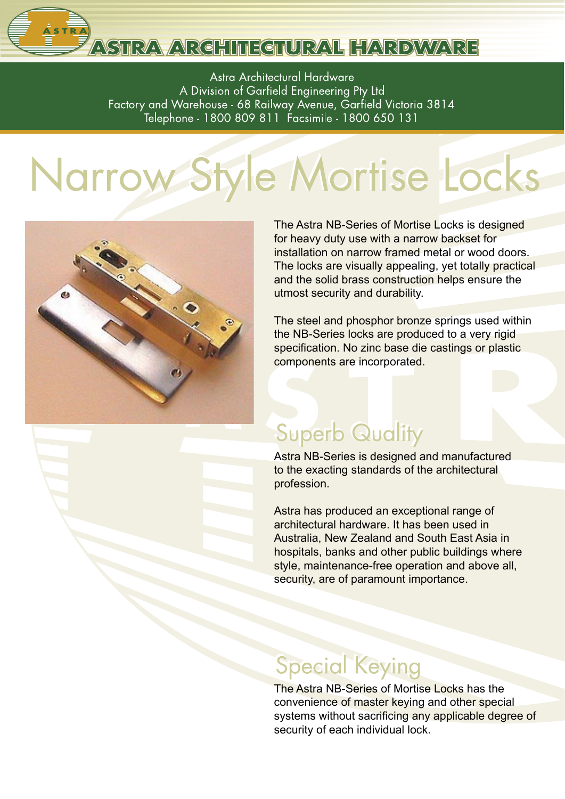# ASTRA ARCHITECTURAL HARDWARE

Astra Architectural Hardware A Division of Garfield Engineering Pty Ltd Factory and Warehouse - 68 Railway Avenue, Garfield Victoria 3814 Telephone - 1800 809 811 Facsimile - 1800 650 131

# Narrow Style Mortise Locks



The Astra NB-Series of Mortise Locks is designed for heavy duty use with a narrow backset for installation on narrow framed metal or wood doors. The locks are visually appealing, yet totally practical and the solid brass construction helps ensure the utmost security and durability.

The steel and phosphor bronze springs used within the NB-Series locks are produced to a very rigid specification. No zinc base die castings or plastic components are incorporated.

### **Superb Quality**

Astra NB-Series is designed and manufactured to the exacting standards of the architectural profession.

Astra has produced an exceptional range of architectural hardware. It has been used in Australia, New Zealand and South East Asia in hospitals, banks and other public buildings where style, maintenance-free operation and above all, security, are of paramount importance.

## **Special Keying**

The Astra NB-Series of Mortise Locks has the convenience of master keying and other special systems without sacrificing any applicable degree of security of each individual lock.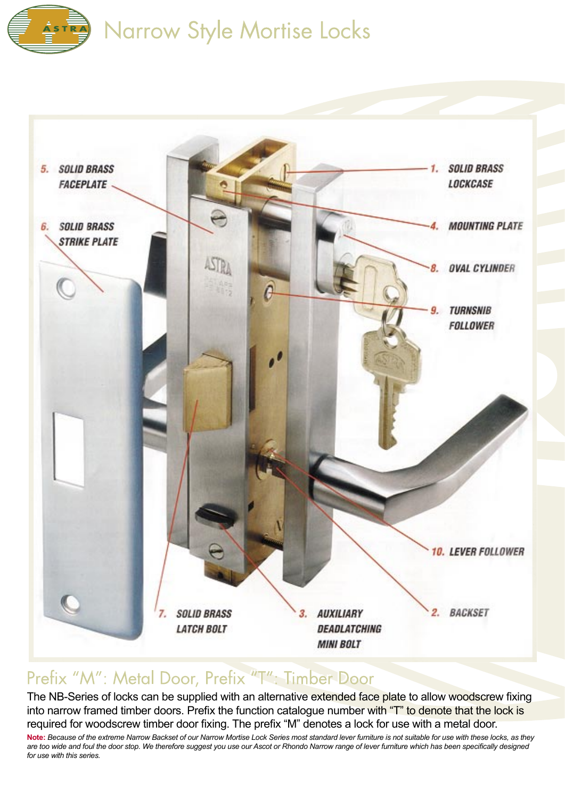



#### Prefix "M": Metal Door, Prefix "T": Timber Door

The NB-Series of locks can be supplied with an alternative extended face plate to allow woodscrew fixing into narrow framed timber doors. Prefix the function catalogue number with "T" to denote that the lock is required for woodscrew timber door fixing. The prefix "M" denotes a lock for use with a metal door.

**Note:** *Because of the extreme Narrow Backset of our Narrow Mortise Lock Series most standard lever furniture is not suitable for use with these locks, as they*  are too wide and foul the door stop. We therefore suggest you use our Ascot or Rhondo Narrow range of lever furniture which has been specifically designed *for use with this series.*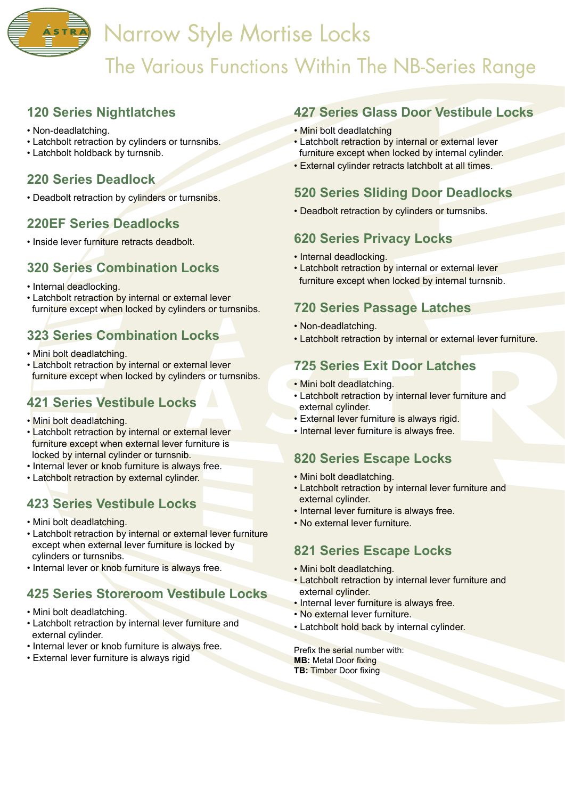## **Narrow Style Mortise Locks** The Various Functions Within The NB-Series Range

#### **120 Series Nightlatches**

- Non-deadlatching.
- Latchbolt retraction by cylinders or turnsnibs.
- Latchbolt holdback by turnsnib.

#### **220 Series Deadlock**

• Deadbolt retraction by cylinders or turnsnibs.

#### **220EF Series Deadlocks**

• Inside lever furniture retracts deadbolt.

#### **320 Series Combination Locks**

- Internal deadlocking.
- Latchbolt retraction by internal or external lever furniture except when locked by cylinders or turnsnibs.

#### **323 Series Combination Locks**

- Mini bolt deadlatching.
- Latchbolt retraction by internal or external lever furniture except when locked by cylinders or turnsnibs.

#### **421 Series Vestibule Locks**

- Mini bolt deadlatching.
- Latchbolt retraction by internal or external lever furniture except when external lever furniture is locked by internal cylinder or turnsnib.
- Internal lever or knob furniture is always free.
- Latchbolt retraction by external cylinder.

#### **423 Series Vestibule Locks**

- Mini bolt deadlatching.
- Latchbolt retraction by internal or external lever furniture except when external lever furniture is locked by cylinders or turnsnibs.
- Internal lever or knob furniture is always free.

#### **425 Series Storeroom Vestibule Locks**

- Mini bolt deadlatching.
- Latchbolt retraction by internal lever furniture and external cylinder.
- Internal lever or knob furniture is always free.
- External lever furniture is always rigid

#### **427 Series Glass Door Vestibule Locks**

- Mini bolt deadlatching
- Latchbolt retraction by internal or external lever furniture except when locked by internal cylinder.
- External cylinder retracts latchbolt at all times.

#### **520 Series Sliding Door Deadlocks**

• Deadbolt retraction by cylinders or turnsnibs.

#### **620 Series Privacy Locks**

- Internal deadlocking.
- Latchbolt retraction by internal or external lever furniture except when locked by internal turnsnib.

#### **720 Series Passage Latches**

- Non-deadlatching.
- Latchbolt retraction by internal or external lever furniture.

#### **725 Series Exit Door Latches**

- Mini bolt deadlatching.
- Latchbolt retraction by internal lever furniture and external cylinder.
- External lever furniture is always rigid.
- Internal lever furniture is always free.

#### **820 Series Escape Locks**

- Mini bolt deadlatching.
- Latchbolt retraction by internal lever furniture and external cylinder.
- Internal lever furniture is always free.
- No external lever furniture.

#### **821 Series Escape Locks**

- Mini bolt deadlatching.
- Latchbolt retraction by internal lever furniture and external cylinder.
- Internal lever furniture is always free.
- No external lever furniture.
- Latchbolt hold back by internal cylinder.

Prefix the serial number with: **MB:** Metal Door fixing **TB: Timber Door fixing**